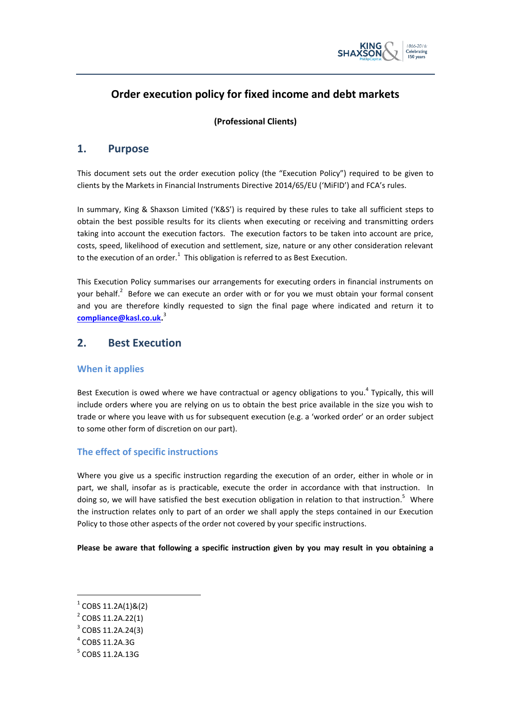

# **Order execution policy for fixed income and debt markets**

#### **(Professional Clients)**

### **1. Purpose**

This document sets out the order execution policy (the "Execution Policy") required to be given to clients by the Markets in Financial Instruments Directive 2014/65/EU ('MiFID') and FCA's rules.

In summary, King & Shaxson Limited ('K&S') is required by these rules to take all sufficient steps to obtain the best possible results for its clients when executing or receiving and transmitting orders taking into account the execution factors. The execution factors to be taken into account are price, costs, speed, likelihood of execution and settlement, size, nature or any other consideration relevant to the execution of an order.<sup>1</sup> This obligation is referred to as Best Execution.

This Execution Policy summarises our arrangements for executing orders in financial instruments on your behalf.<sup>2</sup> Before we can execute an order with or for you we must obtain your formal consent and you are therefore kindly requested to sign the final page where indicated and return it to **[compliance@kasl.co.uk.](mailto:compliance@kasl.co.uk)** 3

#### **2. Best Execution**

#### **When it applies**

Best Execution is owed where we have contractual or agency obligations to you.<sup>4</sup> Typically, this will include orders where you are relying on us to obtain the best price available in the size you wish to trade or where you leave with us for subsequent execution (e.g. a 'worked order' or an order subject to some other form of discretion on our part).

#### **The effect of specific instructions**

Where you give us a specific instruction regarding the execution of an order, either in whole or in part, we shall, insofar as is practicable, execute the order in accordance with that instruction. In doing so, we will have satisfied the best execution obligation in relation to that instruction.<sup>5</sup> Where the instruction relates only to part of an order we shall apply the steps contained in our Execution Policy to those other aspects of the order not covered by your specific instructions.

**Please be aware that following a specific instruction given by you may result in you obtaining a** 

 $1^1$  COBS 11.2A(1)&(2)

 $2^2$  COBS 11.2A.22(1)

<sup>&</sup>lt;sup>3</sup> COBS 11.2A.24(3)

 $<sup>4</sup>$  COBS 11.2A.3G</sup>

<sup>5</sup> COBS 11.2A.13G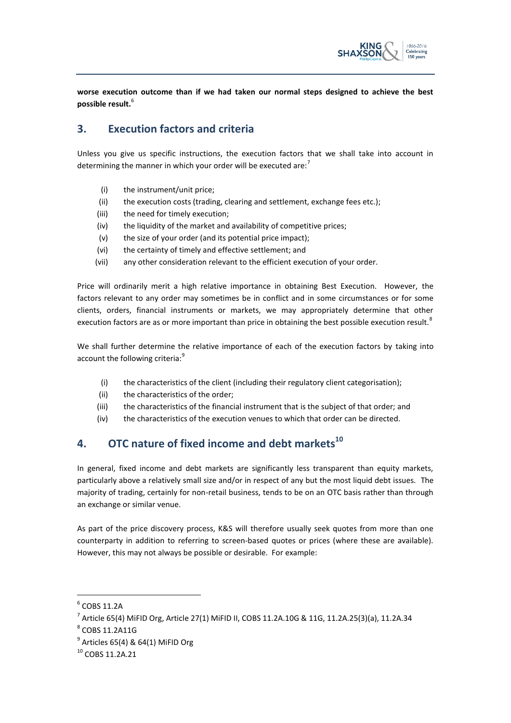

**worse execution outcome than if we had taken our normal steps designed to achieve the best possible result.**<sup>6</sup>

# **3. Execution factors and criteria**

Unless you give us specific instructions, the execution factors that we shall take into account in determining the manner in which your order will be executed are: $<sup>7</sup>$ </sup>

- (i) the instrument/unit price;
- (ii) the execution costs (trading, clearing and settlement, exchange fees etc.);
- (iii) the need for timely execution;
- (iv) the liquidity of the market and availability of competitive prices;
- (v) the size of your order (and its potential price impact);
- (vi) the certainty of timely and effective settlement; and
- (vii) any other consideration relevant to the efficient execution of your order.

Price will ordinarily merit a high relative importance in obtaining Best Execution. However, the factors relevant to any order may sometimes be in conflict and in some circumstances or for some clients, orders, financial instruments or markets, we may appropriately determine that other execution factors are as or more important than price in obtaining the best possible execution result.<sup>8</sup>

We shall further determine the relative importance of each of the execution factors by taking into account the following criteria:<sup>9</sup>

- (i) the characteristics of the client (including their regulatory client categorisation);
- (ii) the characteristics of the order;
- (iii) the characteristics of the financial instrument that is the subject of that order; and
- (iv) the characteristics of the execution venues to which that order can be directed.

# **4. OTC nature of fixed income and debt markets<sup>10</sup>**

In general, fixed income and debt markets are significantly less transparent than equity markets, particularly above a relatively small size and/or in respect of any but the most liquid debt issues. The majority of trading, certainly for non-retail business, tends to be on an OTC basis rather than through an exchange or similar venue.

As part of the price discovery process, K&S will therefore usually seek quotes from more than one counterparty in addition to referring to screen-based quotes or prices (where these are available). However, this may not always be possible or desirable. For example:

 $6$  COBS 11.2A

 $^7$  Article 65(4) MiFID Org, Article 27(1) MiFID II, COBS 11.2A.10G & 11G, 11.2A.25(3)(a), 11.2A.34

<sup>8</sup> COBS 11.2A11G

 $^9$  Articles 65(4) & 64(1) MiFID Org

<sup>10</sup> COBS 11.2A.21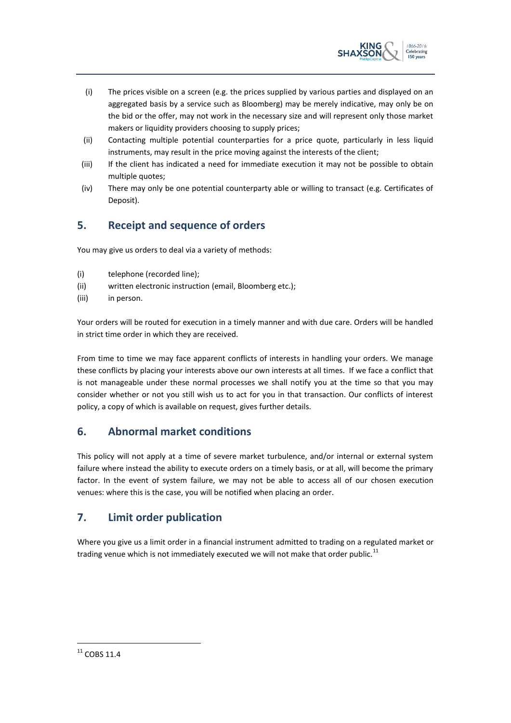

- (i) The prices visible on a screen (e.g. the prices supplied by various parties and displayed on an aggregated basis by a service such as Bloomberg) may be merely indicative, may only be on the bid or the offer, may not work in the necessary size and will represent only those market makers or liquidity providers choosing to supply prices;
- (ii) Contacting multiple potential counterparties for a price quote, particularly in less liquid instruments, may result in the price moving against the interests of the client;
- (iii) If the client has indicated a need for immediate execution it may not be possible to obtain multiple quotes;
- (iv) There may only be one potential counterparty able or willing to transact (e.g. Certificates of Deposit).

# **5. Receipt and sequence of orders**

You may give us orders to deal via a variety of methods:

- (i) telephone (recorded line);
- (ii) written electronic instruction (email, Bloomberg etc.);
- (iii) in person.

Your orders will be routed for execution in a timely manner and with due care. Orders will be handled in strict time order in which they are received.

From time to time we may face apparent conflicts of interests in handling your orders. We manage these conflicts by placing your interests above our own interests at all times. If we face a conflict that is not manageable under these normal processes we shall notify you at the time so that you may consider whether or not you still wish us to act for you in that transaction. Our conflicts of interest policy, a copy of which is available on request, gives further details.

# **6. Abnormal market conditions**

This policy will not apply at a time of severe market turbulence, and/or internal or external system failure where instead the ability to execute orders on a timely basis, or at all, will become the primary factor. In the event of system failure, we may not be able to access all of our chosen execution venues: where this is the case, you will be notified when placing an order.

# **7. Limit order publication**

Where you give us a limit order in a financial instrument admitted to trading on a regulated market or trading venue which is not immediately executed we will not make that order public. $11$ 

 $11$  COBS 11.4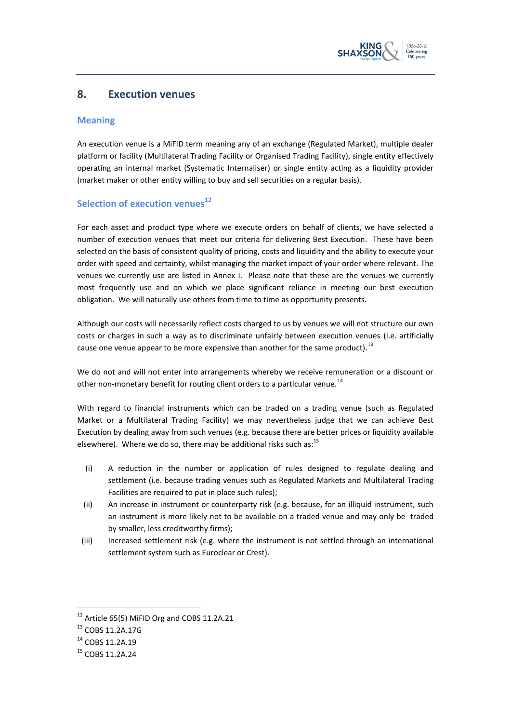

#### **8. Execution venues**

#### **Meaning**

An execution venue is a MiFID term meaning any of an exchange (Regulated Market), multiple dealer platform or facility (Multilateral Trading Facility or Organised Trading Facility), single entity effectively operating an internal market (Systematic Internaliser) or single entity acting as a liquidity provider (market maker or other entity willing to buy and sell securities on a regular basis).

#### **Selection of execution venues<sup>12</sup>**

For each asset and product type where we execute orders on behalf of clients, we have selected a number of execution venues that meet our criteria for delivering Best Execution. These have been selected on the basis of consistent quality of pricing, costs and liquidity and the ability to execute your order with speed and certainty, whilst managing the market impact of your order where relevant. The venues we currently use are listed in Annex I. Please note that these are the venues we currently most frequently use and on which we place significant reliance in meeting our best execution obligation. We will naturally use others from time to time as opportunity presents.

Although our costs will necessarily reflect costs charged to us by venues we will not structure our own costs or charges in such a way as to discriminate unfairly between execution venues (i.e. artificially cause one venue appear to be more expensive than another for the same product).<sup>13</sup>

We do not and will not enter into arrangements whereby we receive remuneration or a discount or other non-monetary benefit for routing client orders to a particular venue.<sup>14</sup>

With regard to financial instruments which can be traded on a trading venue (such as Regulated Market or a Multilateral Trading Facility) we may nevertheless judge that we can achieve Best Execution by dealing away from such venues (e.g. because there are better prices or liquidity available elsewhere). Where we do so, there may be additional risks such as:<sup>15</sup>

- (i) A reduction in the number or application of rules designed to regulate dealing and settlement (i.e. because trading venues such as Regulated Markets and Multilateral Trading Facilities are required to put in place such rules);
- (ii) An increase in instrument or counterparty risk (e.g. because, for an illiquid instrument, such an instrument is more likely not to be available on a traded venue and may only be traded by smaller, less creditworthy firms);
- (iii) Increased settlement risk (e.g. where the instrument is not settled through an international settlement system such as Euroclear or Crest).

1

 $12$  Article 65(5) MiFID Org and COBS 11.2A.21

<sup>13</sup> COBS 11.2A.17G

<sup>&</sup>lt;sup>14</sup> COBS 11.2A.19

 $15$  COBS 11.2A.24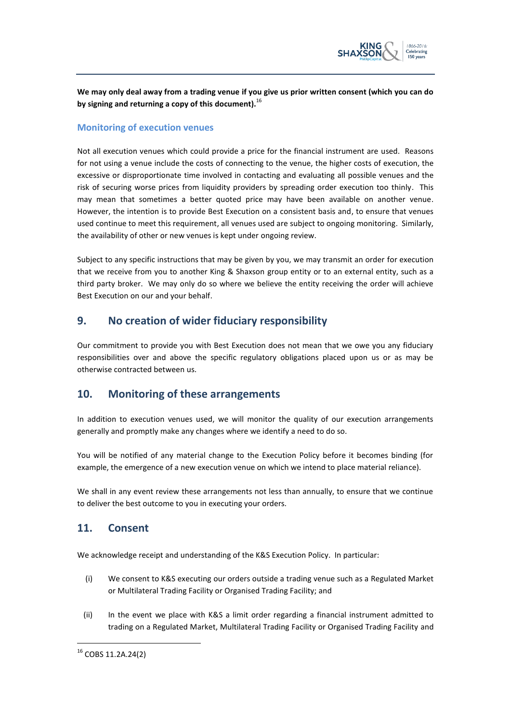

**We may only deal away from a trading venue if you give us prior written consent (which you can do by signing and returning a copy of this document).**<sup>16</sup>

#### **Monitoring of execution venues**

Not all execution venues which could provide a price for the financial instrument are used. Reasons for not using a venue include the costs of connecting to the venue, the higher costs of execution, the excessive or disproportionate time involved in contacting and evaluating all possible venues and the risk of securing worse prices from liquidity providers by spreading order execution too thinly. This may mean that sometimes a better quoted price may have been available on another venue. However, the intention is to provide Best Execution on a consistent basis and, to ensure that venues used continue to meet this requirement, all venues used are subject to ongoing monitoring. Similarly, the availability of other or new venues is kept under ongoing review.

Subject to any specific instructions that may be given by you, we may transmit an order for execution that we receive from you to another King & Shaxson group entity or to an external entity, such as a third party broker. We may only do so where we believe the entity receiving the order will achieve Best Execution on our and your behalf.

# **9. No creation of wider fiduciary responsibility**

Our commitment to provide you with Best Execution does not mean that we owe you any fiduciary responsibilities over and above the specific regulatory obligations placed upon us or as may be otherwise contracted between us.

# **10. Monitoring of these arrangements**

In addition to execution venues used, we will monitor the quality of our execution arrangements generally and promptly make any changes where we identify a need to do so.

You will be notified of any material change to the Execution Policy before it becomes binding (for example, the emergence of a new execution venue on which we intend to place material reliance).

We shall in any event review these arrangements not less than annually, to ensure that we continue to deliver the best outcome to you in executing your orders.

# **11. Consent**

We acknowledge receipt and understanding of the K&S Execution Policy. In particular:

- (i) We consent to K&S executing our orders outside a trading venue such as a Regulated Market or Multilateral Trading Facility or Organised Trading Facility; and
- (ii) In the event we place with K&S a limit order regarding a financial instrument admitted to trading on a Regulated Market, Multilateral Trading Facility or Organised Trading Facility and

<sup>16</sup> COBS 11.2A.24(2)